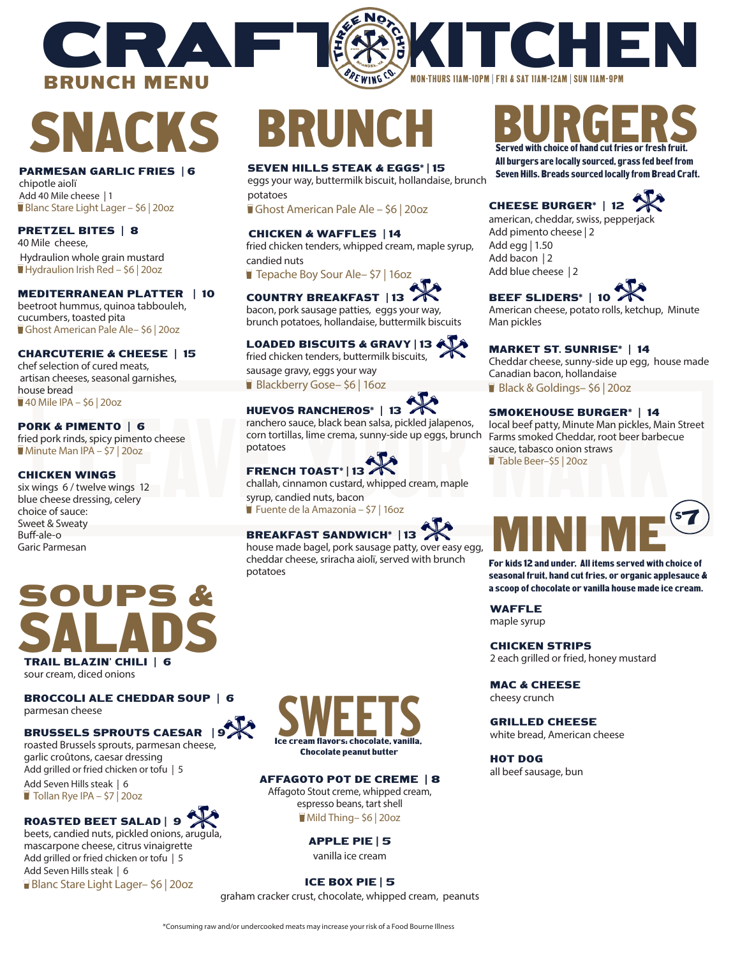# SNACKS

BRUNCH MENU

CRAFTE

#### PARMESAN GARLIC FRIES | 6

chipotle aiolï Add 40 Mile cheese | 1 Blanc Stare Light Lager - \$6 | 20oz

### PRETZEL BITES | 8

40 Mile cheese, Hydraulion whole grain mustard Hydraulion Irish Red – \$6 | 20oz

#### MEDITERRANEAN PLATTER | 10

beetroot hummus, quinoa tabbouleh, cucumbers, toasted pita Ghost American Pale Ale– \$6 | 20oz

### CHARCUTERIE & CHEESE | 15

chef selection of cured meats, artisan cheeses, seasonal garnishes, house bread 40 Mile IPA – \$6 | 20oz

### PORK & PIMENTO | 6

fried pork rinds, spicy pimento cheese Minute Man IPA – \$7 | 20oz

#### CHICKEN WINGS

six wings 6 / twelve wings 12 blue cheese dressing, celery choice of sauce: Sweet & Sweaty Buff-ale-o Garic Parmesan

# BRUNG

# SEVEN HILLS STEAK & EGGS\* | 15

eggs your way, buttermilk biscuit, hollandaise, brunch potatoes

Ghost American Pale Ale – \$6 | 20oz

#### CHICKEN & WAFFLES | 14 fried chicken tenders, whipped cream, maple syrup,

candied nuts

■ Tepache Boy Sour Ale– \$7 | 16oz

# COUNTRY BREAKFAST | 13

bacon, pork sausage patties, eggs your way, brunch potatoes, hollandaise, buttermilk biscuits

## LOADED BISCUITS & GRAVY | 13

fried chicken tenders, buttermilk biscuits, sausage gravy, eggs your way

Blackberry Gose- \$6 | 16oz



**HUEVOS RANCHEROS<sup>\*</sup> | 13<br>
IMENTO | 6<br>
IMENTO | 6<br>
ds, spicy pimento cheese<br>
orthorizalis, lime crema, sunny-side up eggs, brunch Farms smoked Cheddar, root beer barbed<br>
potatoes<br>
IPA - 57 | 200z<br>
potatoes<br>
TRENCH TOAST<sup>\*</sup>** ranchero sauce, black bean salsa, pickled jalapenos, corn tortillas, lime crema, sunny-side up eggs, brunch potatoes

# FRENCH TOAST\* | 13

challah, cinnamon custard, whipped cream, maple syrup, candied nuts, bacon

Fuente de la Amazonia – \$7 | 16oz

# BREAKFAST SANDWICH\* | 13

house made bagel, pork sausage patty, over easy egg, cheddar cheese, sriracha aiolï, served with brunch potatoes



All burgers are locally sourced, grass fed beef from Seven Hills. Breads sourced locally from Bread Craft.

# CHEESE BURGER\* | 12

**K** HI

american, cheddar, swiss, pepperjack Add pimento cheese | 2 Add egg | 1.50 Add bacon | 2 Add blue cheese | 2

BEEF SLIDERS\* | 10

MON-THURS 11AM–10PM | FRI & SAT 11AM–12AM | SUN 11AM–9PM

American cheese, potato rolls, ketchup, Minute Man pickles

#### MARKET ST. SUNRISE\* | 14

Cheddar cheese, sunny-side up egg, house made Canadian bacon, hollandaise Black & Goldings-\$6 | 20oz

#### SMOKEHOUSE BURGER\* | 14

local beef patty, Minute Man pickles, Main Street Farms smoked Cheddar, root beer barbecue sauce, tabasco onion straws

MINI ME $^{\circ}$ 

For kids 12 and under. All items served with choice of seasonal fruit, hand cut fries, or organic applesauce & a scoop of chocolate or vanilla house made ice cream.

7

Table Beer–\$5 | 20oz



sour cream, diced onions

BROCCOLI ALE CHEDDAR SOUP | 6 parmesan cheese

## BRUSSELS SPROUTS CAESAR | 9

roasted Brussels sprouts, parmesan cheese, garlic croûtons, caesar dressing Add grilled or fried chicken or tofu | 5 Add Seven Hills steak | 6

Tollan Rye IPA - \$7 | 20oz

# ROASTED BEET SALAD | 9

beets, candied nuts, pickled onions, arugula, mascarpone cheese, citrus vinaigrette Add grilled or fried chicken or tofu | 5 Add Seven Hills steak | 6 Blanc Stare Light Lager- \$6 | 20oz



## AFFAGOTO POT DE CREME | 8

Affagoto Stout creme, whipped cream, espresso beans, tart shell Mild Thing– \$6 | 20oz

# APPLE PIE | 5

vanilla ice cream

## ICE BOX PIE | 5

graham cracker crust, chocolate, whipped cream, peanuts

# 2 each grilled or fried, honey mustard MAC & CHEESE

cheesy crunch

CHICKEN STRIPS

WAFFLE maple syrup

GRILLED CHEESE white bread, American cheese

HOT DOG all beef sausage, bun